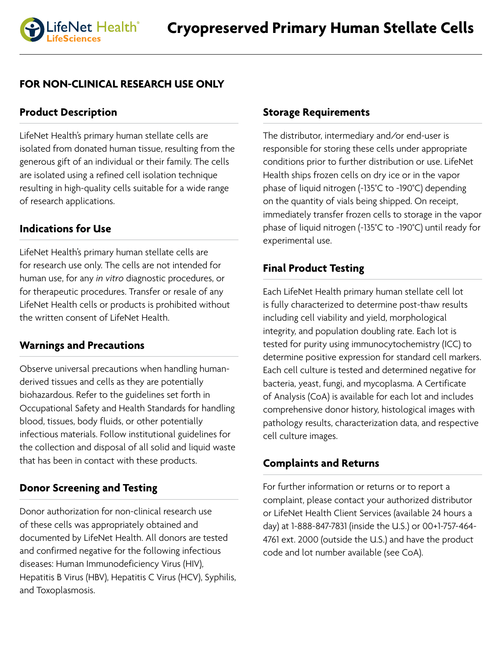# **FOR NON-CLINICAL RESEARCH USE ONLY**

# **Product Description**

LifeNet Health's primary human stellate cells are isolated from donated human tissue, resulting from the generous gift of an individual or their family. The cells are isolated using a refined cell isolation technique resulting in high-quality cells suitable for a wide range of research applications.

# **Indications for Use**

LifeNet Health's primary human stellate cells are for research use only. The cells are not intended for human use, for any *in vitro* diagnostic procedures, or for therapeutic procedures. Transfer or resale of any LifeNet Health cells or products is prohibited without the written consent of LifeNet Health.

# **Warnings and Precautions**

Observe universal precautions when handling humanderived tissues and cells as they are potentially biohazardous. Refer to the guidelines set forth in Occupational Safety and Health Standards for handling blood, tissues, body fluids, or other potentially infectious materials. Follow institutional guidelines for the collection and disposal of all solid and liquid waste that has been in contact with these products.

# **Donor Screening and Testing**

Donor authorization for non-clinical research use of these cells was appropriately obtained and documented by LifeNet Health. All donors are tested and confirmed negative for the following infectious diseases: Human Immunodeficiency Virus (HIV), Hepatitis B Virus (HBV), Hepatitis C Virus (HCV), Syphilis, and Toxoplasmosis.

## **Storage Requirements**

The distributor, intermediary and/or end-user is responsible for storing these cells under appropriate conditions prior to further distribution or use. LifeNet Health ships frozen cells on dry ice or in the vapor phase of liquid nitrogen (-135°C to -190°C) depending on the quantity of vials being shipped. On receipt, immediately transfer frozen cells to storage in the vapor phase of liquid nitrogen (-135°C to -190°C) until ready for experimental use.

# **Final Product Testing**

Each LifeNet Health primary human stellate cell lot is fully characterized to determine post-thaw results including cell viability and yield, morphological integrity, and population doubling rate. Each lot is tested for purity using immunocytochemistry (ICC) to determine positive expression for standard cell markers. Each cell culture is tested and determined negative for bacteria, yeast, fungi, and mycoplasma. A Certificate of Analysis (CoA) is available for each lot and includes comprehensive donor history, histological images with pathology results, characterization data, and respective cell culture images.

# **Complaints and Returns**

For further information or returns or to report a complaint, please contact your authorized distributor or LifeNet Health Client Services (available 24 hours a day) at 1-888-847-7831 (inside the U.S.) or 00+1-757-464- 4761 ext. 2000 (outside the U.S.) and have the product code and lot number available (see CoA).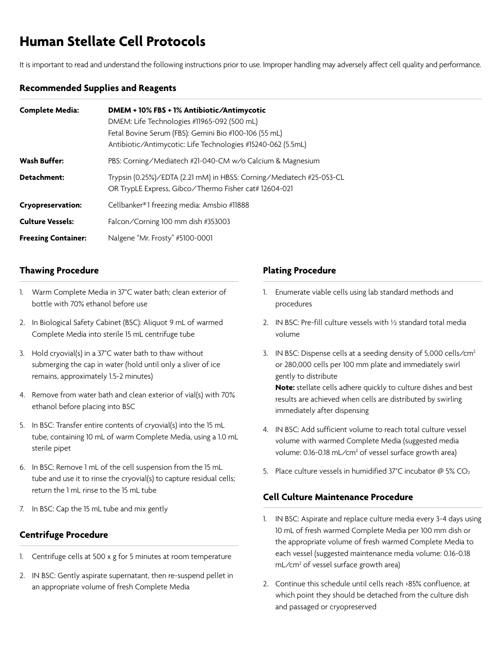# **Human Stellate Cell Protocols**

It is important to read and understand the following instructions prior to use. Improper handling may adversely affect cell quality and performance.

#### **Recommended Supplies and Reagents**

| <b>Complete Media:</b>     | DMEM + 10% FBS + 1% Antibiotic/Antimycotic<br>DMEM: Life Technologies #11965-092 (500 mL)<br>Fetal Bovine Serum (FBS): Gemini Bio #100-106 (55 mL)<br>Antibiotic/Antimycotic: Life Technologies #15240-062 (5.5mL) |
|----------------------------|--------------------------------------------------------------------------------------------------------------------------------------------------------------------------------------------------------------------|
| <b>Wash Buffer:</b>        | PBS: Corning/Mediatech #21-040-CM w/o Calcium & Magnesium                                                                                                                                                          |
| Detachment:                | Trypsin (0.25%)/EDTA (2.21 mM) in HBSS: Corning/Mediatech #25-053-CL<br>OR TrypLE Express, Gibco/Thermo Fisher cat# 12604-021                                                                                      |
| <b>Cryopreservation:</b>   | Cellbanker®1 freezing media: Amsbio #11888                                                                                                                                                                         |
| <b>Culture Vessels:</b>    | Falcon/Corning 100 mm dish #353003                                                                                                                                                                                 |
| <b>Freezing Container:</b> | Nalgene "Mr. Frosty" #5100-0001                                                                                                                                                                                    |

### **Thawing Procedure**

- 1. Warm Complete Media in 37°C water bath; clean exterior of bottle with 70% ethanol before use
- 2. In Biological Safety Cabinet (BSC): Aliquot 9 mL of warmed Complete Media into sterile 15 mL centrifuge tube
- 3. Hold cryovial(s) in a 37°C water bath to thaw without submerging the cap in water (hold until only a sliver of ice remains, approximately 1.5-2 minutes)
- 4. Remove from water bath and clean exterior of vial(s) with 70% ethanol before placing into BSC
- 5. In BSC: Transfer entire contents of cryovial(s) into the 15 mL tube, containing 10 mL of warm Complete Media, using a 1.0 mL sterile pipet
- 6. In BSC: Remove 1 mL of the cell suspension from the 15 mL tube and use it to rinse the cryovial(s) to capture residual cells; return the 1 mL rinse to the 15 mL tube
- 7. In BSC: Cap the 15 mL tube and mix gently

### **Centrifuge Procedure**

- 1. Centrifuge cells at 500 x g for 5 minutes at room temperature
- 2. IN BSC: Gently aspirate supernatant, then re-suspend pellet in an appropriate volume of fresh Complete Media

## **Plating Procedure**

- 1. Enumerate viable cells using lab standard methods and procedures
- 2. IN BSC: Pre-fill culture vessels with ½ standard total media volume
- 3. IN BSC: Dispense cells at a seeding density of 5,000 cells/cm<sup>2</sup> or 280,000 cells per 100 mm plate and immediately swirl gently to distribute

**Note:** stellate cells adhere quickly to culture dishes and best results are achieved when cells are distributed by swirling immediately after dispensing

- 4. IN BSC: Add sufficient volume to reach total culture vessel volume with warmed Complete Media (suggested media volume: 0.16-0.18 mL/cm<sup>2</sup> of vessel surface growth area)
- 5. Place culture vessels in humidified 37°C incubator  $\omega$  5% CO<sub>2</sub>

## **Cell Culture Maintenance Procedure**

- 1. IN BSC: Aspirate and replace culture media every 3-4 days using 10 mL of fresh warmed Complete Media per 100 mm dish or the appropriate volume of fresh warmed Complete Media to each vessel (suggested maintenance media volume: 0.16-0.18 mL/cm<sup>2</sup> of vessel surface growth area)
- 2. Continue this schedule until cells reach >85% confluence, at which point they should be detached from the culture dish and passaged or cryopreserved